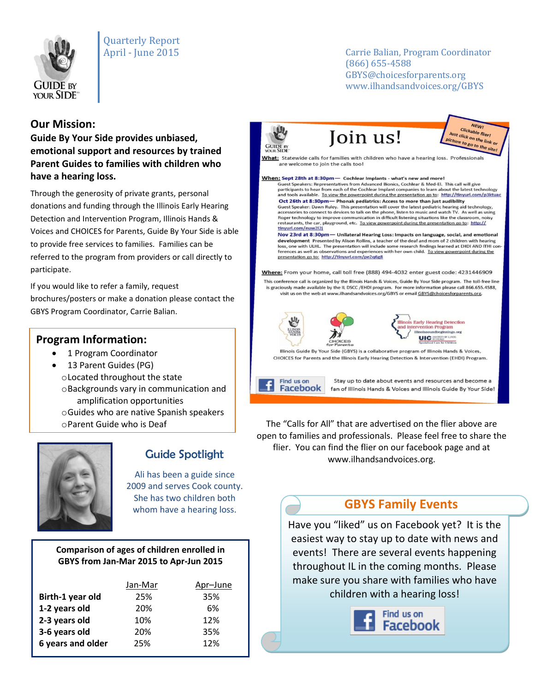

# Quarterly Report

#### April - June 2015 Carrie Balian, Program Coordinator (866) 655-4588 GBYS@choicesforparents.org www.ilhandsandvoices.org/GBYS

## **Our Mission:**

**Guide By Your Side provides unbiased, emotional support and resources by trained Parent Guides to families with children who have a hearing loss.** 

Through the generosity of private grants, personal donations and funding through the Illinois Early Hearing Detection and Intervention Program, Illinois Hands & Voices and CHOICES for Parents, Guide By Your Side is able to provide free services to families. Families can be referred to the program from providers or call directly to participate.

If you would like to refer a family, request brochures/posters or make a donation please contact the GBYS Program Coordinator, Carrie Balian.

### **Program Information:**

- 1 Program Coordinator
- 13 Parent Guides (PG) oLocated throughout the state oBackgrounds vary in communication and amplification opportunities oGuides who are native Spanish speakers oParent Guide who is Deaf



## Guide Spotlight

Ali has been a guide since 2009 and serves Cook county. She has two children both whom have a hearing loss.

#### **Comparison of ages of children enrolled in GBYS from Jan-Mar 2015 to Apr-Jun 2015**

|                   | Jan-Mar | Apr-June |
|-------------------|---------|----------|
| Birth-1 year old  | 25%     | 35%      |
| 1-2 years old     | 20%     | 6%       |
| 2-3 years old     | 10%     | 12%      |
| 3-6 years old     | 20%     | 35%      |
| 6 years and older | 25%     | 12%      |
|                   |         |          |



Find us on Facebook



**NEWI Clickable flier!**<br>Ick on utility Clickable flier!<br>Ist click on the link of<br>ture to go to the ure to go to the link of

What: Statewide calls for families with children who have a hearing loss. Professionals are welcome to join the calls too!

When: Sept 28th at 8:30pm — Cochlear Implants - what's new and more! Guest Speakers: Representatives from Advanced Bionics, Cochlear & Med-El. This call will give<br>participants to hear from each of the Cochlear Implant companies to learn about the latest techn and tools available. To view the powerpoint during the presentation go to: http://tinyurl.com/p3ktuac Oct 26th at 8:30pm- Phonak pediatrics: Access to more than just audibility Substitution Prince Connect to devices to talk on the phone, listen to music and the daring aid technology, accessories to connect to devices to talk on the phone, listen to music and watch TV. As well as using Roger techn restaurants, the car, playground, etc. To view powerpoint during the presentation go to: http:// tinyurl.com/nuw2l2j

Nov 23rd at 8:30pm - Unilateral Hearing Loss: Impacts on language, social, and emotional development Presented by Alison Rollins, a teacher of the deaf and mom of 2 children with hearin loss, one with ULHL. The presentation will include some research findings learned at EHDI AND ITHI conferences as well as observations and experiences with her own child. To view powerpoint during the presentation go to: http://tinyurl.com/pe2q6g8

Where: From your home, call toll free (888) 494-4032 enter guest code: 4231446909

This conference call is organized by the Illinois Hands & Voices, Guide By Your Side program. The toll-free line is graciously made available by the IL DSCC / EHDI program. For more information please call 866.655.4588, visit us on the web at www.ilhandsandvoices.org/GBYS or email GBYS@choicesforparents.org.



Stay up to date about events and resources and become a fan of Illinois Hands & Voices and Illinois Guide By Your Side!

The "Calls for All" that are advertised on the flier above are open to families and professionals. Please feel free to share the flier. You can find the flier on our facebook page and at www.ilhandsandvoices.org.

## **GBYS Family Events**

Have you "liked" us on Facebook yet? It is the easiest way to stay up to date with news and events! There are several events happening throughout IL in the coming months. Please make sure you share with families who have children with a hearing loss!